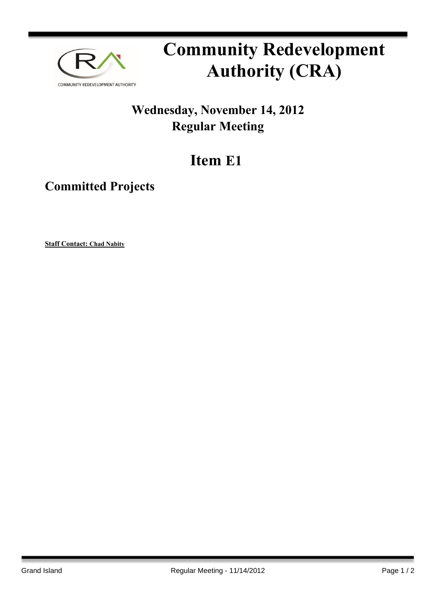

## **Community Redevelopment Authority (CRA)**

## **Wednesday, November 14, 2012 Regular Meeting**

## **Item E1**

**Committed Projects**

**Staff Contact: Chad Nabity**